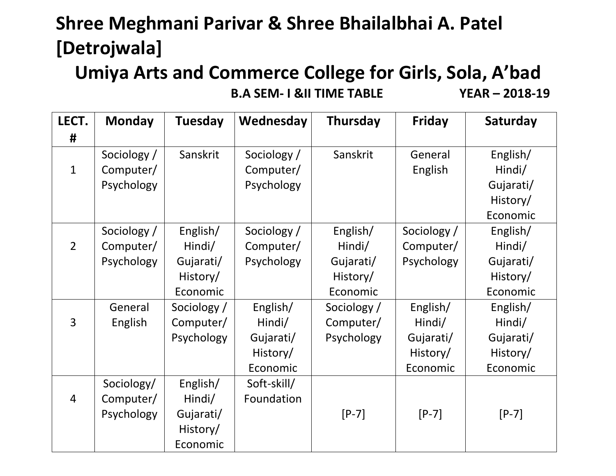## **Shree Meghmani Parivar & Shree Bhailalbhai A. Patel [Detrojwala]**

### **Umiya Arts and Commerce College for Girls, Sola, A'bad B.A SEM- I &II TIME TABLE YEAR – 2018-19**

| LECT.          | <b>Monday</b> | <b>Tuesday</b> | Wednesday   | Thursday    | <b>Friday</b> | Saturday  |
|----------------|---------------|----------------|-------------|-------------|---------------|-----------|
| #              |               |                |             |             |               |           |
|                | Sociology /   | Sanskrit       | Sociology / | Sanskrit    | General       | English/  |
| $\mathbf{1}$   | Computer/     |                | Computer/   |             | English       | Hindi/    |
|                | Psychology    |                | Psychology  |             |               | Gujarati/ |
|                |               |                |             |             |               | History/  |
|                |               |                |             |             |               | Economic  |
|                | Sociology /   | English/       | Sociology / | English/    | Sociology /   | English/  |
| $\overline{2}$ | Computer/     | Hindi/         | Computer/   | Hindi/      | Computer/     | Hindi/    |
|                | Psychology    | Gujarati/      | Psychology  | Gujarati/   | Psychology    | Gujarati/ |
|                |               | History/       |             | History/    |               | History/  |
|                |               | Economic       |             | Economic    |               | Economic  |
|                | General       | Sociology /    | English/    | Sociology / | English/      | English/  |
| $\overline{3}$ | English       | Computer/      | Hindi/      | Computer/   | Hindi/        | Hindi/    |
|                |               | Psychology     | Gujarati/   | Psychology  | Gujarati/     | Gujarati/ |
|                |               |                | History/    |             | History/      | History/  |
|                |               |                | Economic    |             | Economic      | Economic  |
|                | Sociology/    | English/       | Soft-skill/ |             |               |           |
| $\overline{4}$ | Computer/     | Hindi/         | Foundation  |             |               |           |
|                | Psychology    | Gujarati/      |             | $[P-7]$     | $[P-7]$       | $[P-7]$   |
|                |               | History/       |             |             |               |           |
|                |               | Economic       |             |             |               |           |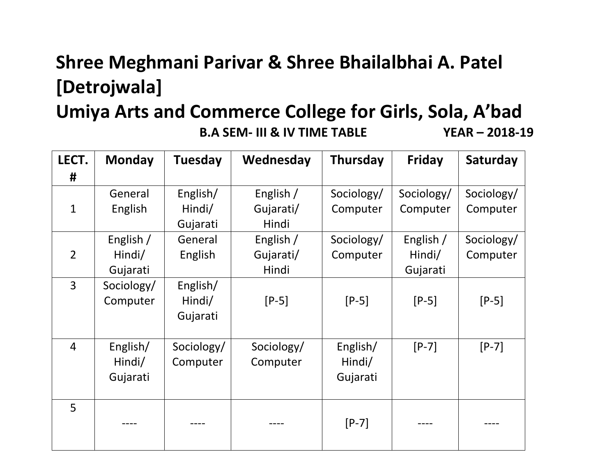### **Shree Meghmani Parivar & Shree Bhailalbhai A. Patel [Detrojwala]**

#### **Umiya Arts and Commerce College for Girls, Sola, A'bad B.A SEM- III & IV TIME TABLE YEAR – 2018-19**

| LECT.          | <b>Monday</b> | <b>Tuesday</b> | Wednesday  | Thursday   | <b>Friday</b> | Saturday   |
|----------------|---------------|----------------|------------|------------|---------------|------------|
| #              |               |                |            |            |               |            |
|                | General       | English/       | English /  | Sociology/ | Sociology/    | Sociology/ |
| $\mathbf{1}$   | English       | Hindi/         | Gujarati/  | Computer   | Computer      | Computer   |
|                |               | Gujarati       | Hindi      |            |               |            |
|                | English /     | General        | English /  | Sociology/ | English /     | Sociology/ |
| $\overline{2}$ | Hindi/        | English        | Gujarati/  | Computer   | Hindi/        | Computer   |
|                | Gujarati      |                | Hindi      |            | Gujarati      |            |
| $\overline{3}$ | Sociology/    | English/       |            |            |               |            |
|                | Computer      | Hindi/         | $[P-5]$    | $[P-5]$    | $[P-5]$       | $[P-5]$    |
|                |               | Gujarati       |            |            |               |            |
|                |               |                |            |            |               |            |
| $\overline{4}$ | English/      | Sociology/     | Sociology/ | English/   | $[P-7]$       | $[P-7]$    |
|                | Hindi/        | Computer       | Computer   | Hindi/     |               |            |
|                | Gujarati      |                |            | Gujarati   |               |            |
|                |               |                |            |            |               |            |
| 5              |               |                |            |            |               |            |
|                |               |                |            | $[P-7]$    |               |            |
|                |               |                |            |            |               |            |